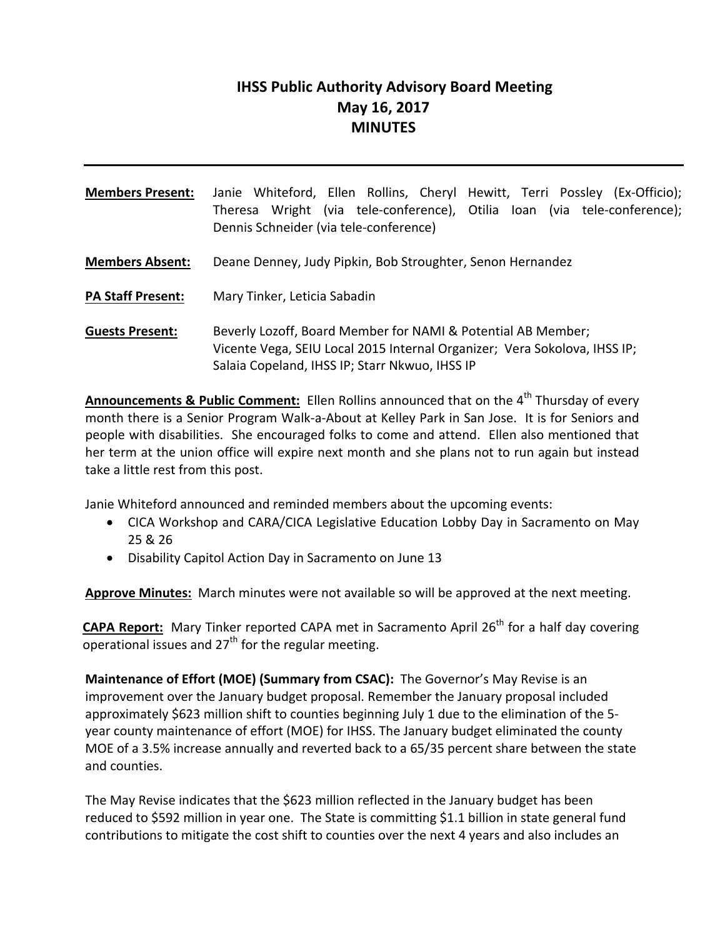# **IHSS Public Authority Advisory Board Meeting May 16, 2017 MINUTES**

| <b>Members Present:</b>  | Janie Whiteford, Ellen Rollins, Cheryl Hewitt, Terri Possley (Ex-Officio);<br>Theresa Wright (via tele-conference), Otilia Ioan (via tele-conference);<br>Dennis Schneider (via tele-conference) |
|--------------------------|--------------------------------------------------------------------------------------------------------------------------------------------------------------------------------------------------|
| <b>Members Absent:</b>   | Deane Denney, Judy Pipkin, Bob Stroughter, Senon Hernandez                                                                                                                                       |
| <b>PA Staff Present:</b> | Mary Tinker, Leticia Sabadin                                                                                                                                                                     |
| <b>Guests Present:</b>   | Beverly Lozoff, Board Member for NAMI & Potential AB Member;<br>Vicente Vega, SEIU Local 2015 Internal Organizer; Vera Sokolova, IHSS IP;<br>Salaia Copeland, IHSS IP; Starr Nkwuo, IHSS IP      |

**Announcements & Public Comment:** Ellen Rollins announced that on the 4<sup>th</sup> Thursday of every month there is a Senior Program Walk‐a‐About at Kelley Park in San Jose. It is for Seniors and people with disabilities. She encouraged folks to come and attend. Ellen also mentioned that her term at the union office will expire next month and she plans not to run again but instead take a little rest from this post.

Janie Whiteford announced and reminded members about the upcoming events:

- CICA Workshop and CARA/CICA Legislative Education Lobby Day in Sacramento on May 25 & 26
- Disability Capitol Action Day in Sacramento on June 13

**Approve Minutes:** March minutes were not available so will be approved at the next meeting.

**CAPA Report:** Mary Tinker reported CAPA met in Sacramento April 26<sup>th</sup> for a half day covering operational issues and  $27<sup>th</sup>$  for the regular meeting.

**Maintenance of Effort (MOE) (Summary from CSAC):** The Governor's May Revise is an improvement over the January budget proposal. Remember the January proposal included approximately \$623 million shift to counties beginning July 1 due to the elimination of the 5‐ year county maintenance of effort (MOE) for IHSS. The January budget eliminated the county MOE of a 3.5% increase annually and reverted back to a 65/35 percent share between the state and counties.

The May Revise indicates that the \$623 million reflected in the January budget has been reduced to \$592 million in year one. The State is committing \$1.1 billion in state general fund contributions to mitigate the cost shift to counties over the next 4 years and also includes an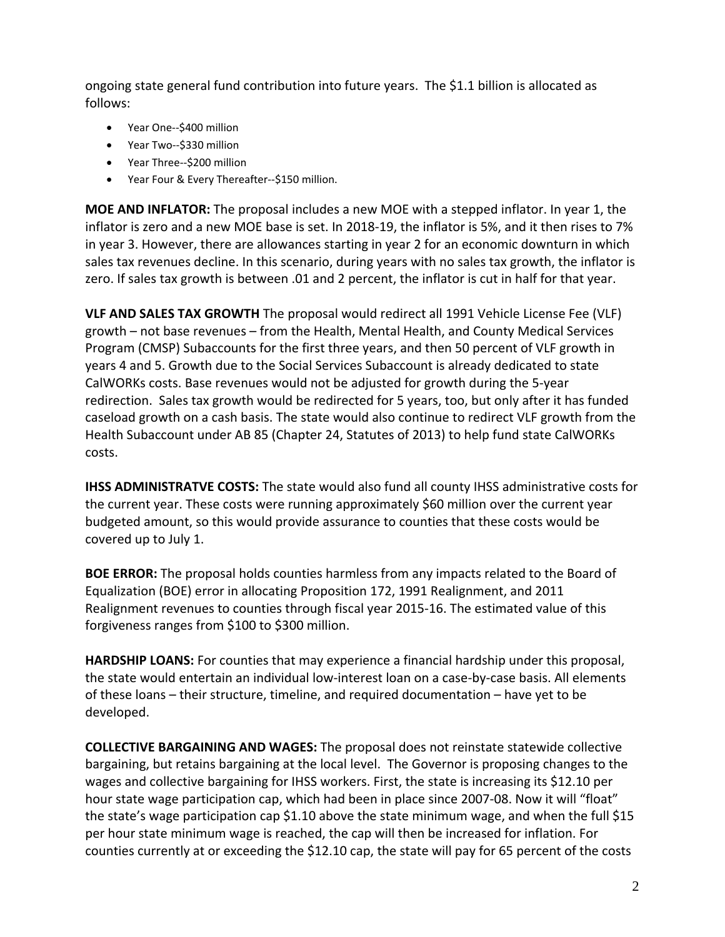ongoing state general fund contribution into future years. The \$1.1 billion is allocated as follows:

- Year One--\$400 million
- Year Two--\$330 million
- Year Three--\$200 million
- Year Four & Every Thereafter--\$150 million.

**MOE AND INFLATOR:** The proposal includes a new MOE with a stepped inflator. In year 1, the inflator is zero and a new MOE base is set. In 2018-19, the inflator is 5%, and it then rises to 7% in year 3. However, there are allowances starting in year 2 for an economic downturn in which sales tax revenues decline. In this scenario, during years with no sales tax growth, the inflator is zero. If sales tax growth is between .01 and 2 percent, the inflator is cut in half for that year.

**VLF AND SALES TAX GROWTH** The proposal would redirect all 1991 Vehicle License Fee (VLF) growth – not base revenues – from the Health, Mental Health, and County Medical Services Program (CMSP) Subaccounts for the first three years, and then 50 percent of VLF growth in years 4 and 5. Growth due to the Social Services Subaccount is already dedicated to state CalWORKs costs. Base revenues would not be adjusted for growth during the 5‐year redirection. Sales tax growth would be redirected for 5 years, too, but only after it has funded caseload growth on a cash basis. The state would also continue to redirect VLF growth from the Health Subaccount under AB 85 (Chapter 24, Statutes of 2013) to help fund state CalWORKs costs.

**IHSS ADMINISTRATVE COSTS:** The state would also fund all county IHSS administrative costs for the current year. These costs were running approximately \$60 million over the current year budgeted amount, so this would provide assurance to counties that these costs would be covered up to July 1.

**BOE ERROR:** The proposal holds counties harmless from any impacts related to the Board of Equalization (BOE) error in allocating Proposition 172, 1991 Realignment, and 2011 Realignment revenues to counties through fiscal year 2015‐16. The estimated value of this forgiveness ranges from \$100 to \$300 million.

**HARDSHIP LOANS:** For counties that may experience a financial hardship under this proposal, the state would entertain an individual low-interest loan on a case-by-case basis. All elements of these loans – their structure, timeline, and required documentation – have yet to be developed.

**COLLECTIVE BARGAINING AND WAGES:** The proposal does not reinstate statewide collective bargaining, but retains bargaining at the local level. The Governor is proposing changes to the wages and collective bargaining for IHSS workers. First, the state is increasing its \$12.10 per hour state wage participation cap, which had been in place since 2007-08. Now it will "float" the state's wage participation cap \$1.10 above the state minimum wage, and when the full \$15 per hour state minimum wage is reached, the cap will then be increased for inflation. For counties currently at or exceeding the \$12.10 cap, the state will pay for 65 percent of the costs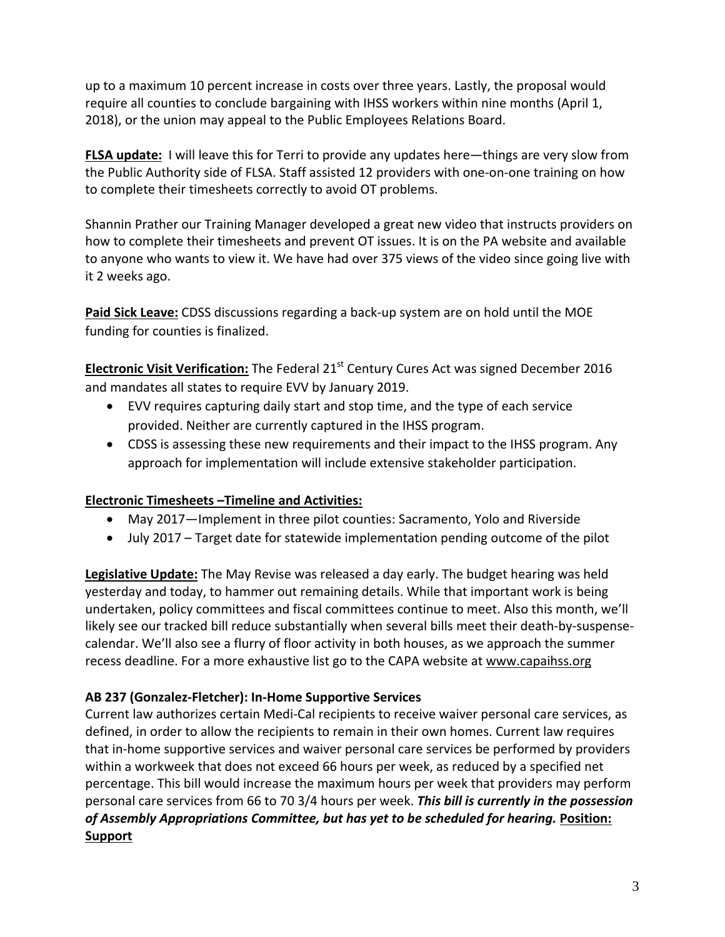up to a maximum 10 percent increase in costs over three years. Lastly, the proposal would require all counties to conclude bargaining with IHSS workers within nine months (April 1, 2018), or the union may appeal to the Public Employees Relations Board.

**FLSA update:** I will leave this for Terri to provide any updates here—things are very slow from the Public Authority side of FLSA. Staff assisted 12 providers with one‐on‐one training on how to complete their timesheets correctly to avoid OT problems.

Shannin Prather our Training Manager developed a great new video that instructs providers on how to complete their timesheets and prevent OT issues. It is on the PA website and available to anyone who wants to view it. We have had over 375 views of the video since going live with it 2 weeks ago.

**Paid Sick Leave:** CDSS discussions regarding a back‐up system are on hold until the MOE funding for counties is finalized.

**Electronic Visit Verification:** The Federal 21st Century Cures Act was signed December 2016 and mandates all states to require EVV by January 2019.

- EVV requires capturing daily start and stop time, and the type of each service provided. Neither are currently captured in the IHSS program.
- CDSS is assessing these new requirements and their impact to the IHSS program. Any approach for implementation will include extensive stakeholder participation.

# **Electronic Timesheets –Timeline and Activities:**

- May 2017—Implement in three pilot counties: Sacramento, Yolo and Riverside
- July 2017 Target date for statewide implementation pending outcome of the pilot

**Legislative Update:** The May Revise was released a day early. The budget hearing was held yesterday and today, to hammer out remaining details. While that important work is being undertaken, policy committees and fiscal committees continue to meet. Also this month, we'll likely see our tracked bill reduce substantially when several bills meet their death‐by‐suspense‐ calendar. We'll also see a flurry of floor activity in both houses, as we approach the summer recess deadline. For a more exhaustive list go to the CAPA website at www.capaihss.org

# **AB 237 (Gonzalez‐Fletcher): In‐Home Supportive Services**

Current law authorizes certain Medi‐Cal recipients to receive waiver personal care services, as defined, in order to allow the recipients to remain in their own homes. Current law requires that in‐home supportive services and waiver personal care services be performed by providers within a workweek that does not exceed 66 hours per week, as reduced by a specified net percentage. This bill would increase the maximum hours per week that providers may perform personal care services from 66 to 70 3/4 hours per week. *This bill is currently in the possession of Assembly Appropriations Committee, but has yet to be scheduled for hearing.* **Position: Support**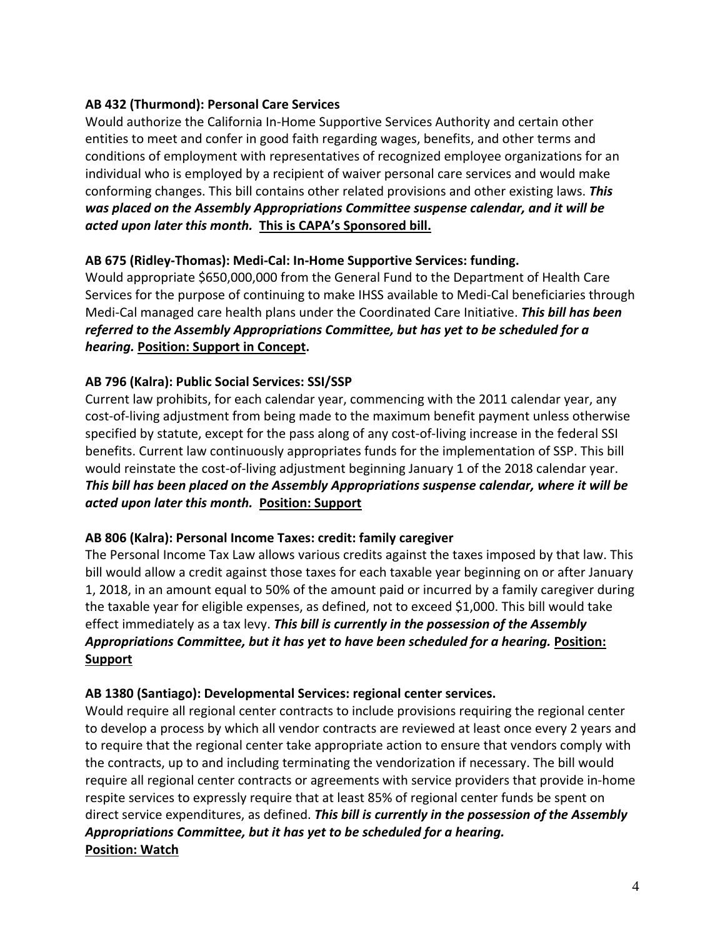### **AB 432 (Thurmond): Personal Care Services**

Would authorize the California In‐Home Supportive Services Authority and certain other entities to meet and confer in good faith regarding wages, benefits, and other terms and conditions of employment with representatives of recognized employee organizations for an individual who is employed by a recipient of waiver personal care services and would make conforming changes. This bill contains other related provisions and other existing laws. *This was placed on the Assembly Appropriations Committee suspense calendar, and it will be acted upon later this month.* **This is CAPA's Sponsored bill.**

#### **AB 675 (Ridley‐Thomas): Medi‐Cal: In‐Home Supportive Services: funding.**

Would appropriate \$650,000,000 from the General Fund to the Department of Health Care Services for the purpose of continuing to make IHSS available to Medi‐Cal beneficiaries through Medi‐Cal managed care health plans under the Coordinated Care Initiative. *This bill has been referred to the Assembly Appropriations Committee, but has yet to be scheduled for a hearing.* **Position: Support in Concept.**

#### **AB 796 (Kalra): Public Social Services: SSI/SSP**

Current law prohibits, for each calendar year, commencing with the 2011 calendar year, any cost-of-living adjustment from being made to the maximum benefit payment unless otherwise specified by statute, except for the pass along of any cost-of-living increase in the federal SSI benefits. Current law continuously appropriates funds for the implementation of SSP. This bill would reinstate the cost-of-living adjustment beginning January 1 of the 2018 calendar year. *This bill has been placed on the Assembly Appropriations suspense calendar, where it will be acted upon later this month.* **Position: Support**

#### **AB 806 (Kalra): Personal Income Taxes: credit: family caregiver**

The Personal Income Tax Law allows various credits against the taxes imposed by that law. This bill would allow a credit against those taxes for each taxable year beginning on or after January 1, 2018, in an amount equal to 50% of the amount paid or incurred by a family caregiver during the taxable year for eligible expenses, as defined, not to exceed \$1,000. This bill would take effect immediately as a tax levy. *This bill is currently in the possession of the Assembly Appropriations Committee, but it has yet to have been scheduled for a hearing.* **Position: Support**

#### **AB 1380 (Santiago): Developmental Services: regional center services.**

Would require all regional center contracts to include provisions requiring the regional center to develop a process by which all vendor contracts are reviewed at least once every 2 years and to require that the regional center take appropriate action to ensure that vendors comply with the contracts, up to and including terminating the vendorization if necessary. The bill would require all regional center contracts or agreements with service providers that provide in‐home respite services to expressly require that at least 85% of regional center funds be spent on direct service expenditures, as defined. *This bill is currently in the possession of the Assembly Appropriations Committee, but it has yet to be scheduled for a hearing.*  **Position: Watch**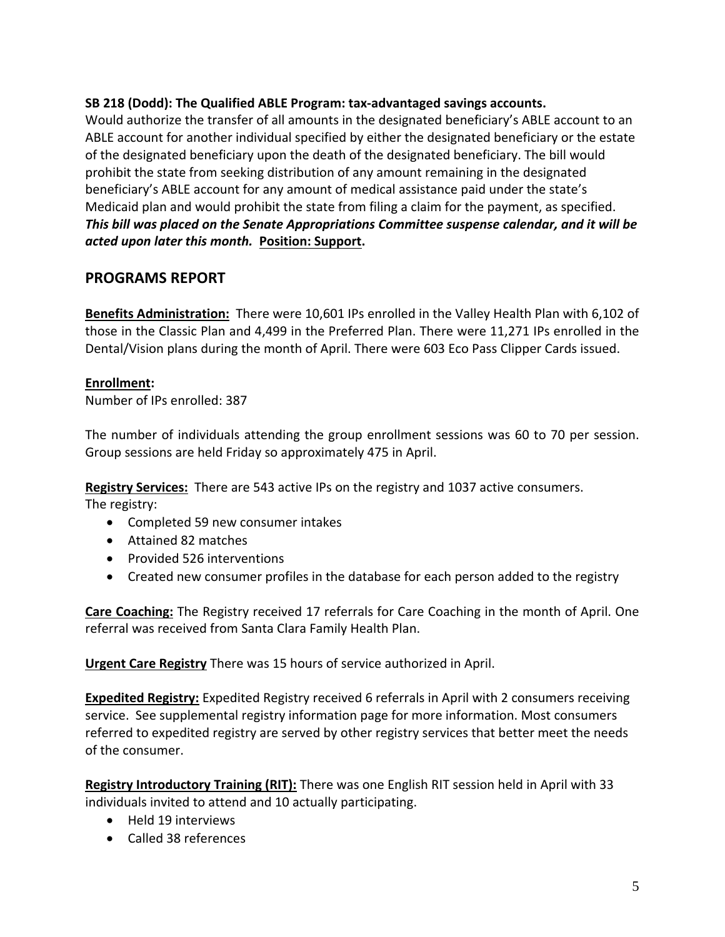### **SB 218 (Dodd): The Qualified ABLE Program: tax‐advantaged savings accounts.**

Would authorize the transfer of all amounts in the designated beneficiary's ABLE account to an ABLE account for another individual specified by either the designated beneficiary or the estate of the designated beneficiary upon the death of the designated beneficiary. The bill would prohibit the state from seeking distribution of any amount remaining in the designated beneficiary's ABLE account for any amount of medical assistance paid under the state's Medicaid plan and would prohibit the state from filing a claim for the payment, as specified. *This bill was placed on the Senate Appropriations Committee suspense calendar, and it will be acted upon later this month.* **Position: Support.**

# **PROGRAMS REPORT**

**Benefits Administration:** There were 10,601 IPs enrolled in the Valley Health Plan with 6,102 of those in the Classic Plan and 4,499 in the Preferred Plan. There were 11,271 IPs enrolled in the Dental/Vision plans during the month of April. There were 603 Eco Pass Clipper Cards issued.

#### **Enrollment:**

Number of IPs enrolled: 387

The number of individuals attending the group enrollment sessions was 60 to 70 per session. Group sessions are held Friday so approximately 475 in April.

**Registry Services:** There are 543 active IPs on the registry and 1037 active consumers. The registry:

- Completed 59 new consumer intakes
- Attained 82 matches
- Provided 526 interventions
- Created new consumer profiles in the database for each person added to the registry

**Care Coaching:** The Registry received 17 referrals for Care Coaching in the month of April. One referral was received from Santa Clara Family Health Plan.

**Urgent Care Registry** There was 15 hours of service authorized in April.

**Expedited Registry:** Expedited Registry received 6 referrals in April with 2 consumers receiving service. See supplemental registry information page for more information. Most consumers referred to expedited registry are served by other registry services that better meet the needs of the consumer.

**Registry Introductory Training (RIT):** There was one English RIT session held in April with 33 individuals invited to attend and 10 actually participating.

- Held 19 interviews
- Called 38 references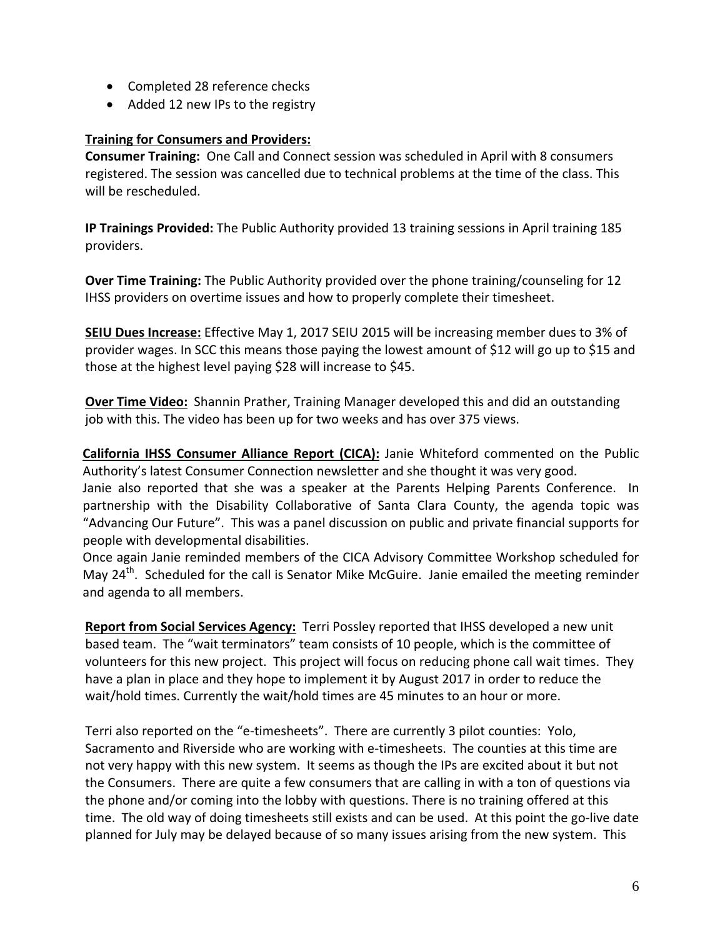- Completed 28 reference checks
- Added 12 new IPs to the registry

### **Training for Consumers and Providers:**

**Consumer Training:** One Call and Connect session was scheduled in April with 8 consumers registered. The session was cancelled due to technical problems at the time of the class. This will be rescheduled.

**IP Trainings Provided:** The Public Authority provided 13 training sessions in April training 185 providers.

**Over Time Training:** The Public Authority provided over the phone training/counseling for 12 IHSS providers on overtime issues and how to properly complete their timesheet.

**SEIU Dues Increase:** Effective May 1, 2017 SEIU 2015 will be increasing member dues to 3% of provider wages. In SCC this means those paying the lowest amount of \$12 will go up to \$15 and those at the highest level paying \$28 will increase to \$45.

**Over Time Video:** Shannin Prather, Training Manager developed this and did an outstanding job with this. The video has been up for two weeks and has over 375 views.

**California IHSS Consumer Alliance Report (CICA):** Janie Whiteford commented on the Public Authority's latest Consumer Connection newsletter and she thought it was very good.

Janie also reported that she was a speaker at the Parents Helping Parents Conference. In partnership with the Disability Collaborative of Santa Clara County, the agenda topic was "Advancing Our Future". This was a panel discussion on public and private financial supports for people with developmental disabilities.

Once again Janie reminded members of the CICA Advisory Committee Workshop scheduled for May  $24<sup>th</sup>$ . Scheduled for the call is Senator Mike McGuire. Janie emailed the meeting reminder and agenda to all members.

**Report from Social Services Agency:** Terri Possley reported that IHSS developed a new unit based team. The "wait terminators" team consists of 10 people, which is the committee of volunteers for this new project. This project will focus on reducing phone call wait times. They have a plan in place and they hope to implement it by August 2017 in order to reduce the wait/hold times. Currently the wait/hold times are 45 minutes to an hour or more.

Terri also reported on the "e-timesheets". There are currently 3 pilot counties: Yolo, Sacramento and Riverside who are working with e-timesheets. The counties at this time are not very happy with this new system. It seems as though the IPs are excited about it but not the Consumers. There are quite a few consumers that are calling in with a ton of questions via the phone and/or coming into the lobby with questions. There is no training offered at this time. The old way of doing timesheets still exists and can be used. At this point the go-live date planned for July may be delayed because of so many issues arising from the new system. This